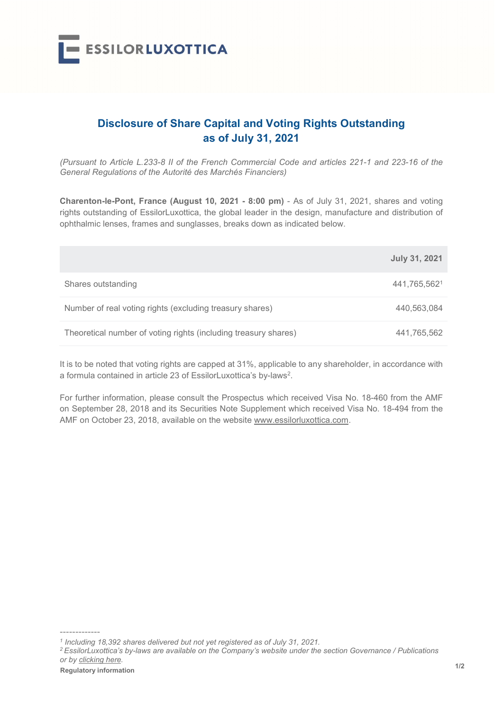

## Disclosure of Share Capital and Voting Rights Outstanding as of July 31, 2021

(Pursuant to Article L.233-8 II of the French Commercial Code and articles 221-1 and 223-16 of the General Regulations of the Autorité des Marchés Financiers)

Charenton-le-Pont, France (August 10, 2021 - 8:00 pm) - As of July 31, 2021, shares and voting rights outstanding of EssilorLuxottica, the global leader in the design, manufacture and distribution of ophthalmic lenses, frames and sunglasses, breaks down as indicated below.

|                                                                 | <b>July 31, 2021</b> |
|-----------------------------------------------------------------|----------------------|
| Shares outstanding                                              | 441,765,5621         |
| Number of real voting rights (excluding treasury shares)        | 440,563,084          |
| Theoretical number of voting rights (including treasury shares) | 441,765,562          |

It is to be noted that voting rights are capped at 31%, applicable to any shareholder, in accordance with a formula contained in article 23 of EssilorLuxottica's by-laws<sup>2</sup>.

For further information, please consult the Prospectus which received Visa No. 18-460 from the AMF on September 28, 2018 and its Securities Note Supplement which received Visa No. 18-494 from the AMF on October 23, 2018, available on the website www.essilorluxottica.com.

the string term of the control of the control of the control of the control of the control of the control of the control of the control of the control of the control of the control of the control of the control of the cont <sup>2</sup>EssilorLuxottica's by-laws are available on the Company's website under the section Governance / Publications or by clicking here.

-------------

<sup>&</sup>lt;sup>1</sup> Including 18,392 shares delivered but not yet registered as of July 31, 2021.